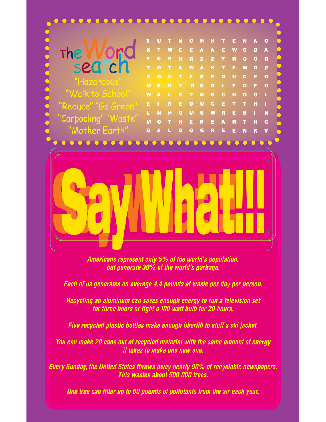

*Americans represent only 5% of the world's population, but generate 30% of the world's garbage.*

*Each of us generates on average 4.4 pounds of waste per day per person.*

*Recycling an aluminum can saves enough energy to run a television set for three hours or light a 100 watt bulb for 20 hours.*

*Five recycled plastic bottles make enough fiberfill to stuff a ski jacket.*

*You can make 20 cans out of recycled material with the same amount of energy it takes to make one new one.*

*Every Sunday, the United States throws away nearly 90% of recyclable newspapers. This wastes about 500,000 trees.*

*One tree can filter up to 60 pounds of pollutants from the air each year.*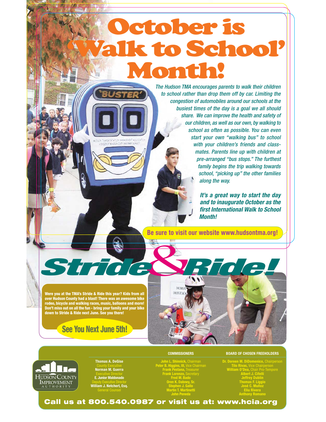## October is to School Month!

The Hudson TMA encourages parents to walk their children to school rather than drop them off by car. Limiting the congestion of automobiles around our schools at the busiest times of the day is a goal we all should share. We can improve the health and safety of our children, as well as our own, by walking to school as often as possible. You can even start your own "walking bus" to school with your children's friends and classmates. Parents line up with children at pre-arranged "bus stops." The furthest family begins the trip walking towards school, "picking up" the other families along the way.

> *It's a great way to start the day and to inaugurate October as the first International Walk to School Month!*

**Be sure to visit our website www.hudsontma.org!**

**Were you at the TMA's Stride & Ride this year? Kids from all over Hudson County had a blast! There was an awesome bike rodeo, bicycle and walking races, music, balloons and more! Don't miss out on all the fun - bring your family and your bike down to Stride & Ride next June. See you there!**

#### **See You Next June 5th!**





**Thomas A. DeGise** County Executive **Norman M. Guerra** Executive Director **E. Junior Maldonado** Deputy Executive Director **William J. Netchert, Esq.** General Counsel

John L. Shinnick, Chairman<br>Peter B. Higgins, III, Vice Chairman<br>Frank Pestana, Treasurer<br>Frank Lorenzo, Secretary<br>Fred M. Bado<br>Oren K. Dabney, Sr.<br>Stephen J. Gallo<br>Martin T. Martinetti<br>John Peneda

**COMMISSIONERS**

#### **BOARD OF CHOSEN FREEHOLDERS**

**Dr. Doreen M. DiDomenico,** Chairperson **Tilo Rivas,** Vice Chairperson **William O'Dea,** Chair Pro-Tempore **Albert J. Cifelli Jeffrey Dublin Thomas F. Liggio José C. Muñoz Eliu Rivera Anthony Romano**

**Call us at 800.540.0987 or visit us at: www.hcia.org**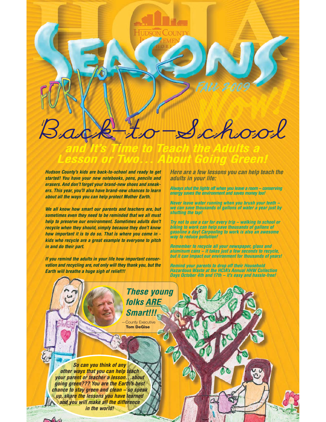

*Hudson County's kids are back-to-school and ready to get started! You have your new notebooks, pens, pencils and erasers. And don't forget your brand-new shoes and sneakers. This year, you'll also have brand-new chances to learn about all the ways you can help protect Mother Earth.*

*We all know how smart our parents and teachers are, but sometimes even they need to be reminded that we all must help to preserve our environment. Sometimes adults don't recycle when they should, simply because they don't know how important it is to do so. That is where you come in kids who recycle are a great example to everyone to pitch in and do their part.*

*If you remind the adults in your life how important conservation and recycling are, not only will they thank you, but the Earth will breathe a huge sigh of relief!!!*

*Here are a few lessons you can help teach the adults in your life:*

*Always shut the lights off when you leave a room – conserving energy saves the environment and saves money too!*

*Never leave water running when you brush your teeth – we can save thousands of gallons of water a year just by shutting the tap!*

*Try not to use a car for every trip – walking to school or biking to work can help save thousands of gallons of gasoline a day! Carpooling to work is also an awesome way to reduce pollution!*

*Remember to recycle all your newspaper, glass and aluminum cans – it takes just a few seconds to recycle, but it can impact our environment for thousands of years!*

*Remind your parents to drop off their Household Hazardous Waste at the HCIA's Annual HHW Collection Days October 4th and 17th – it's easy and hassle-free!*

**County Executive Tom DeGise** *These young folks ARE Smart!!! So can you think of any other ways that you can help teach your parent or teacher a lesson…about going green??? You are the Earth's best chance to stay green and clean – so speak up, share the lessons you have learned and you will make all the difference in the world!*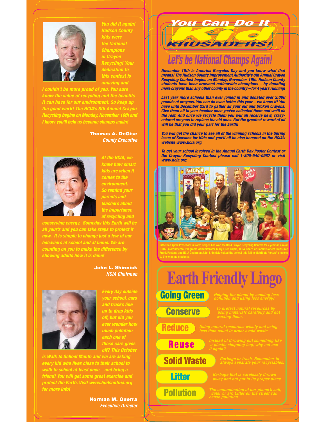

*You did it again! Hudson County kids were the National Champions in Crayon Recycling! Your dedication to amazing and*

*I couldn't be more proud of you. You sure know the value of recycling and the benefits it can have for our environment. So keep up the good work! The HCIA's 8th Annual Crayon Recycling begins on Monday, November 16th and I know you'll help us become champs again!*

#### **Thomas A. DeGise** *County Executive*



*At the HCIA, we know how smart kids are when it comes to the environment. So remind your parents and teachers about the importance of recycling and*

*conserving energy. Someday this Earth will be all your's and you can take steps to protect it now. It is simple to change just a few of our behaviors at school and at home. We are counting on you to make the difference by showing adults how it is done!*

#### **John L. Shinnick** *HCIA Chairman*



*Every day outside and trucks line up to drop kids off, but did you ever wonder how much pollution each one of those cars gives off? This October*

*is Walk to School Month and we are a every kid who lives close to their school to walk to school at least once – and bring a friend! You will get some great exercise and protect the Earth. Visit www.hudsontma.org for more info!*

> **Norman M. Guerra** *Executive Director*

# **Kou Can Do It** *You Can Do It*

### *Let's be National Champs Again!*

*November 15th is America Recycles Day and you know what that means! The Hudson County Improvement Authority's 8th Annual Crayon Recycling Contest begins on Monday, November 16th. Hudson County students have been crowned nationwide champions – by donating more crayons than any other county in the country – for 4 years running!*

*Last year more schools than ever joined in and donated over 2,000 pounds of crayons. You can do even better this year – we know it! You have until December 23rd to gather all your old and broken crayons. Give them all to your teacher once you've collected them and we'll do the rest. And once we recycle them you will all receive new, crazycolored crayons to replace the old ones. But the greatest reward of all will be that you did your part for the Earth!*

*You will get the chance to see all of the winning schools in the Spring issue of Seasons for Kids and you'll all be also honored on the HCIA's website www.hcia.org.*

*To get your school involved in the Annual Earth Day Poster Contest or the Crayon Recycling Contest please call 1-800-540-0987 or visit www.hcia.org.*



**HCIA Environmental Programs Administrator Mary Ellen Gilpin, HCIA Board of Commisioners Treasurer Frank Pestana and HCIA Chairman John Shinnick visited the school this fall to distribute "crazy" crayons to the winning students.**



**Reduce**

**Solid Waste**

**Conserve**

**Reuse**

**Litter**

**Pollution**

*Garbage or trash. Remember to always separate your recyclables.*

*water or air. Litter on the street can*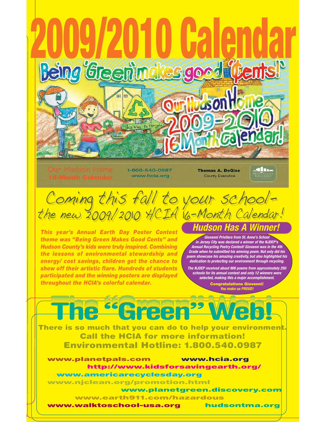

**www.earth911.com/hazardous**

**www.walktoschool-usa.org hudsontma.org**